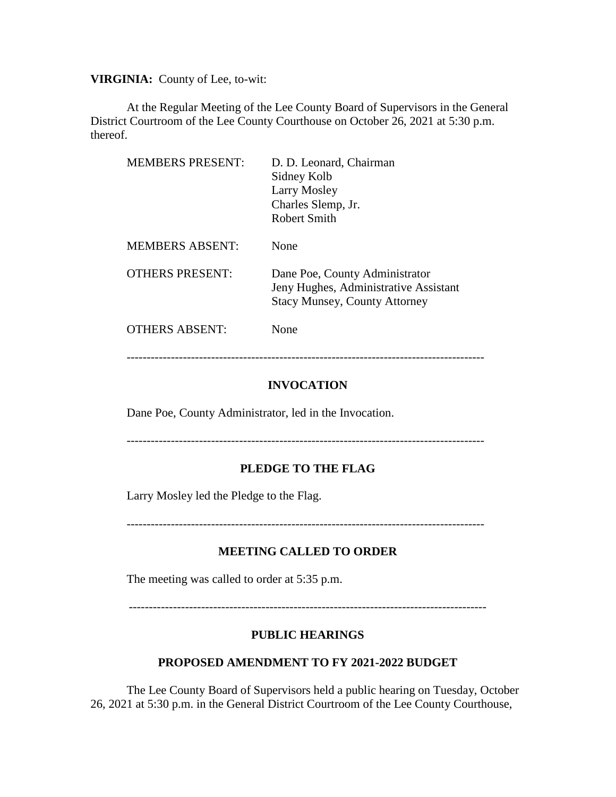**VIRGINIA:** County of Lee, to-wit:

At the Regular Meeting of the Lee County Board of Supervisors in the General District Courtroom of the Lee County Courthouse on October 26, 2021 at 5:30 p.m. thereof.

| <b>MEMBERS PRESENT:</b> | D. D. Leonard, Chairman<br>Sidney Kolb<br>Larry Mosley<br>Charles Slemp, Jr.<br>Robert Smith                    |
|-------------------------|-----------------------------------------------------------------------------------------------------------------|
| <b>MEMBERS ABSENT:</b>  | None                                                                                                            |
| <b>OTHERS PRESENT:</b>  | Dane Poe, County Administrator<br>Jeny Hughes, Administrative Assistant<br><b>Stacy Munsey, County Attorney</b> |
| <b>OTHERS ABSENT:</b>   | None                                                                                                            |

-----------------------------------------------------------------------------------------

### **INVOCATION**

Dane Poe, County Administrator, led in the Invocation.

-----------------------------------------------------------------------------------------

### **PLEDGE TO THE FLAG**

Larry Mosley led the Pledge to the Flag.

-----------------------------------------------------------------------------------------

#### **MEETING CALLED TO ORDER**

The meeting was called to order at 5:35 p.m.

-----------------------------------------------------------------------------------------

#### **PUBLIC HEARINGS**

### **PROPOSED AMENDMENT TO FY 2021-2022 BUDGET**

The Lee County Board of Supervisors held a public hearing on Tuesday, October 26, 2021 at 5:30 p.m. in the General District Courtroom of the Lee County Courthouse,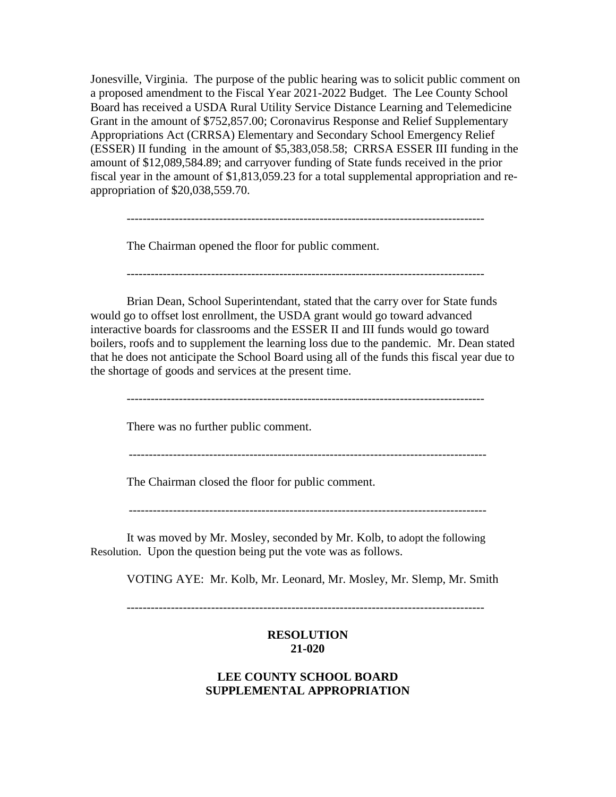Jonesville, Virginia. The purpose of the public hearing was to solicit public comment on a proposed amendment to the Fiscal Year 2021-2022 Budget. The Lee County School Board has received a USDA Rural Utility Service Distance Learning and Telemedicine Grant in the amount of \$752,857.00; Coronavirus Response and Relief Supplementary Appropriations Act (CRRSA) Elementary and Secondary School Emergency Relief (ESSER) II funding in the amount of \$5,383,058.58; CRRSA ESSER III funding in the amount of \$12,089,584.89; and carryover funding of State funds received in the prior fiscal year in the amount of \$1,813,059.23 for a total supplemental appropriation and reappropriation of \$20,038,559.70.

The Chairman opened the floor for public comment.

-----------------------------------------------------------------------------------------

-----------------------------------------------------------------------------------------

Brian Dean, School Superintendant, stated that the carry over for State funds would go to offset lost enrollment, the USDA grant would go toward advanced interactive boards for classrooms and the ESSER II and III funds would go toward boilers, roofs and to supplement the learning loss due to the pandemic. Mr. Dean stated that he does not anticipate the School Board using all of the funds this fiscal year due to the shortage of goods and services at the present time.

-----------------------------------------------------------------------------------------

There was no further public comment.

-----------------------------------------------------------------------------------------

The Chairman closed the floor for public comment.

-----------------------------------------------------------------------------------------

It was moved by Mr. Mosley, seconded by Mr. Kolb, to adopt the following Resolution. Upon the question being put the vote was as follows.

VOTING AYE: Mr. Kolb, Mr. Leonard, Mr. Mosley, Mr. Slemp, Mr. Smith

# **RESOLUTION 21-020**

# **LEE COUNTY SCHOOL BOARD SUPPLEMENTAL APPROPRIATION**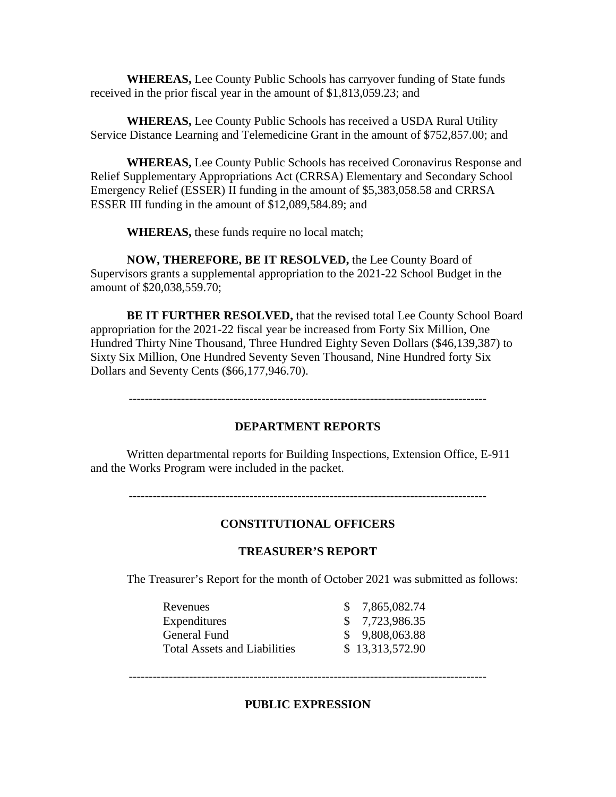**WHEREAS,** Lee County Public Schools has carryover funding of State funds received in the prior fiscal year in the amount of \$1,813,059.23; and

**WHEREAS,** Lee County Public Schools has received a USDA Rural Utility Service Distance Learning and Telemedicine Grant in the amount of \$752,857.00; and

**WHEREAS,** Lee County Public Schools has received Coronavirus Response and Relief Supplementary Appropriations Act (CRRSA) Elementary and Secondary School Emergency Relief (ESSER) II funding in the amount of \$5,383,058.58 and CRRSA ESSER III funding in the amount of \$12,089,584.89; and

**WHEREAS,** these funds require no local match;

**NOW, THEREFORE, BE IT RESOLVED,** the Lee County Board of Supervisors grants a supplemental appropriation to the 2021-22 School Budget in the amount of \$20,038,559.70;

**BE IT FURTHER RESOLVED,** that the revised total Lee County School Board appropriation for the 2021-22 fiscal year be increased from Forty Six Million, One Hundred Thirty Nine Thousand, Three Hundred Eighty Seven Dollars (\$46,139,387) to Sixty Six Million, One Hundred Seventy Seven Thousand, Nine Hundred forty Six Dollars and Seventy Cents (\$66,177,946.70).

-----------------------------------------------------------------------------------------

## **DEPARTMENT REPORTS**

Written departmental reports for Building Inspections, Extension Office, E-911 and the Works Program were included in the packet.

#### **CONSTITUTIONAL OFFICERS**

#### **TREASURER'S REPORT**

The Treasurer's Report for the month of October 2021 was submitted as follows:

| Revenues                            | \$7,865,082.74  |
|-------------------------------------|-----------------|
| Expenditures                        | \$7,723,986.35  |
| General Fund                        | \$9,808,063.88  |
| <b>Total Assets and Liabilities</b> | \$13,313,572.90 |

-----------------------------------------------------------------------------------------

#### **PUBLIC EXPRESSION**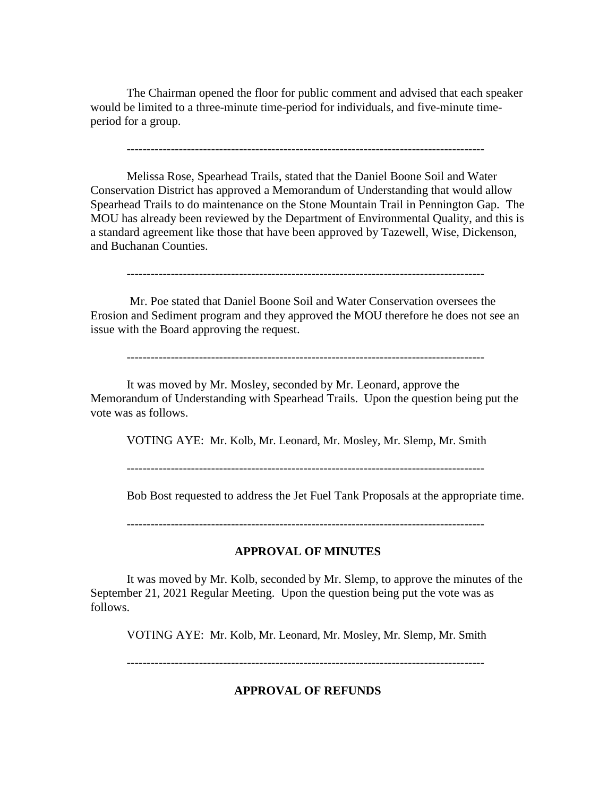The Chairman opened the floor for public comment and advised that each speaker would be limited to a three-minute time-period for individuals, and five-minute timeperiod for a group.

Melissa Rose, Spearhead Trails, stated that the Daniel Boone Soil and Water Conservation District has approved a Memorandum of Understanding that would allow Spearhead Trails to do maintenance on the Stone Mountain Trail in Pennington Gap. The MOU has already been reviewed by the Department of Environmental Quality, and this is a standard agreement like those that have been approved by Tazewell, Wise, Dickenson, and Buchanan Counties.

-----------------------------------------------------------------------------------------

Mr. Poe stated that Daniel Boone Soil and Water Conservation oversees the Erosion and Sediment program and they approved the MOU therefore he does not see an issue with the Board approving the request.

-----------------------------------------------------------------------------------------

It was moved by Mr. Mosley, seconded by Mr. Leonard, approve the Memorandum of Understanding with Spearhead Trails. Upon the question being put the vote was as follows.

VOTING AYE: Mr. Kolb, Mr. Leonard, Mr. Mosley, Mr. Slemp, Mr. Smith

-----------------------------------------------------------------------------------------

Bob Bost requested to address the Jet Fuel Tank Proposals at the appropriate time.

-----------------------------------------------------------------------------------------

### **APPROVAL OF MINUTES**

It was moved by Mr. Kolb, seconded by Mr. Slemp, to approve the minutes of the September 21, 2021 Regular Meeting. Upon the question being put the vote was as follows.

VOTING AYE: Mr. Kolb, Mr. Leonard, Mr. Mosley, Mr. Slemp, Mr. Smith

-----------------------------------------------------------------------------------------

**APPROVAL OF REFUNDS**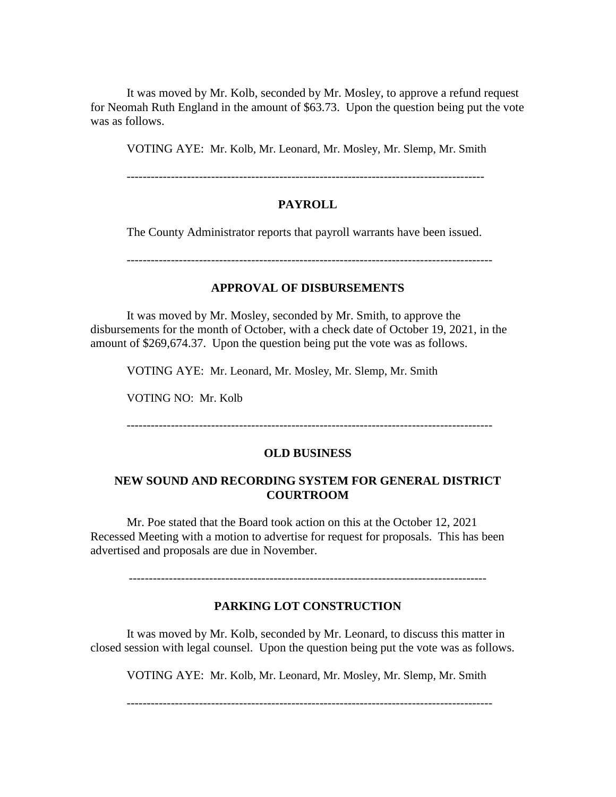It was moved by Mr. Kolb, seconded by Mr. Mosley, to approve a refund request for Neomah Ruth England in the amount of \$63.73. Upon the question being put the vote was as follows.

VOTING AYE: Mr. Kolb, Mr. Leonard, Mr. Mosley, Mr. Slemp, Mr. Smith

-----------------------------------------------------------------------------------------

## **PAYROLL**

The County Administrator reports that payroll warrants have been issued.

-------------------------------------------------------------------------------------------

# **APPROVAL OF DISBURSEMENTS**

It was moved by Mr. Mosley, seconded by Mr. Smith, to approve the disbursements for the month of October, with a check date of October 19, 2021, in the amount of \$269,674.37. Upon the question being put the vote was as follows.

VOTING AYE: Mr. Leonard, Mr. Mosley, Mr. Slemp, Mr. Smith

VOTING NO: Mr. Kolb

-------------------------------------------------------------------------------------------

### **OLD BUSINESS**

### **NEW SOUND AND RECORDING SYSTEM FOR GENERAL DISTRICT COURTROOM**

Mr. Poe stated that the Board took action on this at the October 12, 2021 Recessed Meeting with a motion to advertise for request for proposals. This has been advertised and proposals are due in November.

-----------------------------------------------------------------------------------------

### **PARKING LOT CONSTRUCTION**

It was moved by Mr. Kolb, seconded by Mr. Leonard, to discuss this matter in closed session with legal counsel. Upon the question being put the vote was as follows.

VOTING AYE: Mr. Kolb, Mr. Leonard, Mr. Mosley, Mr. Slemp, Mr. Smith

-------------------------------------------------------------------------------------------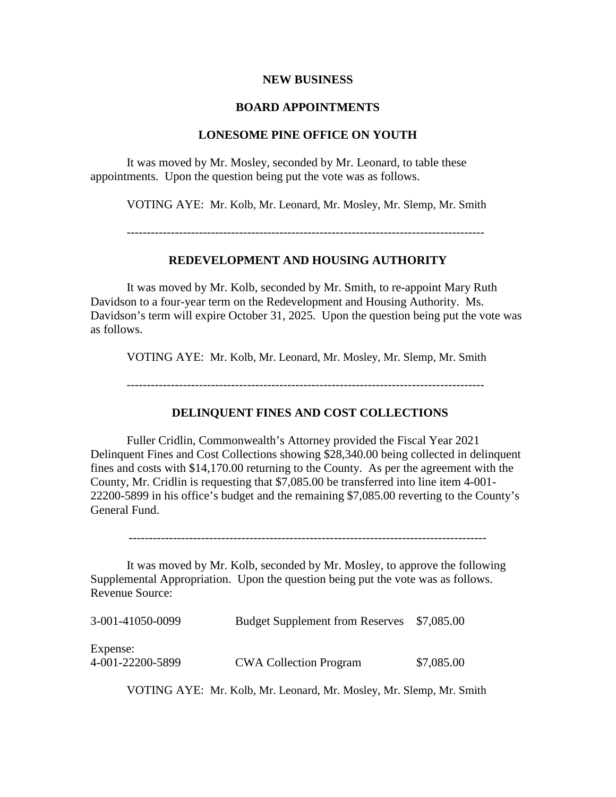#### **NEW BUSINESS**

#### **BOARD APPOINTMENTS**

## **LONESOME PINE OFFICE ON YOUTH**

It was moved by Mr. Mosley, seconded by Mr. Leonard, to table these appointments. Upon the question being put the vote was as follows.

VOTING AYE: Mr. Kolb, Mr. Leonard, Mr. Mosley, Mr. Slemp, Mr. Smith

# **REDEVELOPMENT AND HOUSING AUTHORITY**

It was moved by Mr. Kolb, seconded by Mr. Smith, to re-appoint Mary Ruth Davidson to a four-year term on the Redevelopment and Housing Authority. Ms. Davidson's term will expire October 31, 2025. Upon the question being put the vote was as follows.

VOTING AYE: Mr. Kolb, Mr. Leonard, Mr. Mosley, Mr. Slemp, Mr. Smith

#### **DELINQUENT FINES AND COST COLLECTIONS**

Fuller Cridlin, Commonwealth's Attorney provided the Fiscal Year 2021 Delinquent Fines and Cost Collections showing \$28,340.00 being collected in delinquent fines and costs with \$14,170.00 returning to the County. As per the agreement with the County, Mr. Cridlin is requesting that \$7,085.00 be transferred into line item 4-001- 22200-5899 in his office's budget and the remaining \$7,085.00 reverting to the County's General Fund.

-----------------------------------------------------------------------------------------

It was moved by Mr. Kolb, seconded by Mr. Mosley, to approve the following Supplemental Appropriation. Upon the question being put the vote was as follows. Revenue Source:

| 3-001-41050-0099 | Budget Supplement from Reserves \$7,085.00 |            |
|------------------|--------------------------------------------|------------|
| Expense:         |                                            |            |
| 4-001-22200-5899 | <b>CWA Collection Program</b>              | \$7,085.00 |

VOTING AYE: Mr. Kolb, Mr. Leonard, Mr. Mosley, Mr. Slemp, Mr. Smith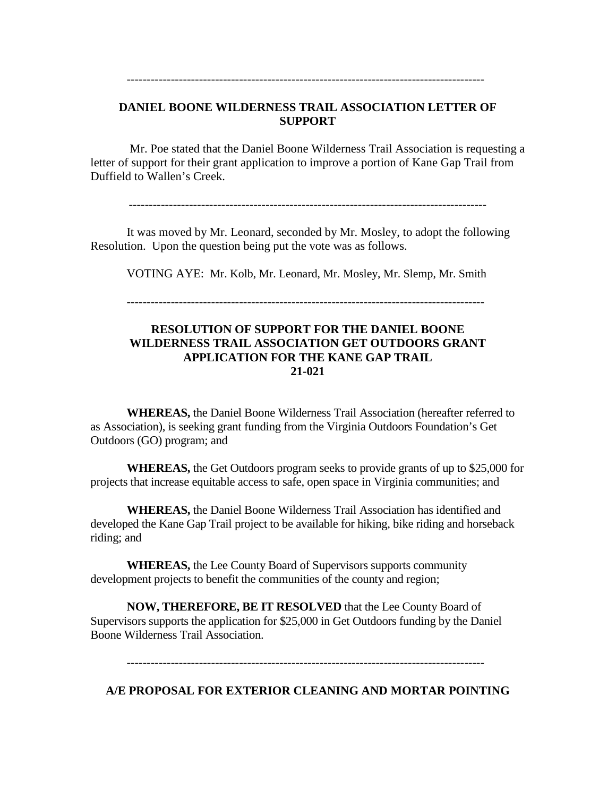# **DANIEL BOONE WILDERNESS TRAIL ASSOCIATION LETTER OF SUPPORT**

-----------------------------------------------------------------------------------------

Mr. Poe stated that the Daniel Boone Wilderness Trail Association is requesting a letter of support for their grant application to improve a portion of Kane Gap Trail from Duffield to Wallen's Creek.

It was moved by Mr. Leonard, seconded by Mr. Mosley, to adopt the following Resolution. Upon the question being put the vote was as follows.

VOTING AYE: Mr. Kolb, Mr. Leonard, Mr. Mosley, Mr. Slemp, Mr. Smith

# **RESOLUTION OF SUPPORT FOR THE DANIEL BOONE WILDERNESS TRAIL ASSOCIATION GET OUTDOORS GRANT APPLICATION FOR THE KANE GAP TRAIL 21-021**

**WHEREAS,** the Daniel Boone Wilderness Trail Association (hereafter referred to as Association), is seeking grant funding from the Virginia Outdoors Foundation's Get Outdoors (GO) program; and

**WHEREAS,** the Get Outdoors program seeks to provide grants of up to \$25,000 for projects that increase equitable access to safe, open space in Virginia communities; and

**WHEREAS,** the Daniel Boone Wilderness Trail Association has identified and developed the Kane Gap Trail project to be available for hiking, bike riding and horseback riding; and

**WHEREAS,** the Lee County Board of Supervisors supports community development projects to benefit the communities of the county and region;

**NOW, THEREFORE, BE IT RESOLVED** that the Lee County Board of Supervisors supports the application for \$25,000 in Get Outdoors funding by the Daniel Boone Wilderness Trail Association.

-----------------------------------------------------------------------------------------

**A/E PROPOSAL FOR EXTERIOR CLEANING AND MORTAR POINTING**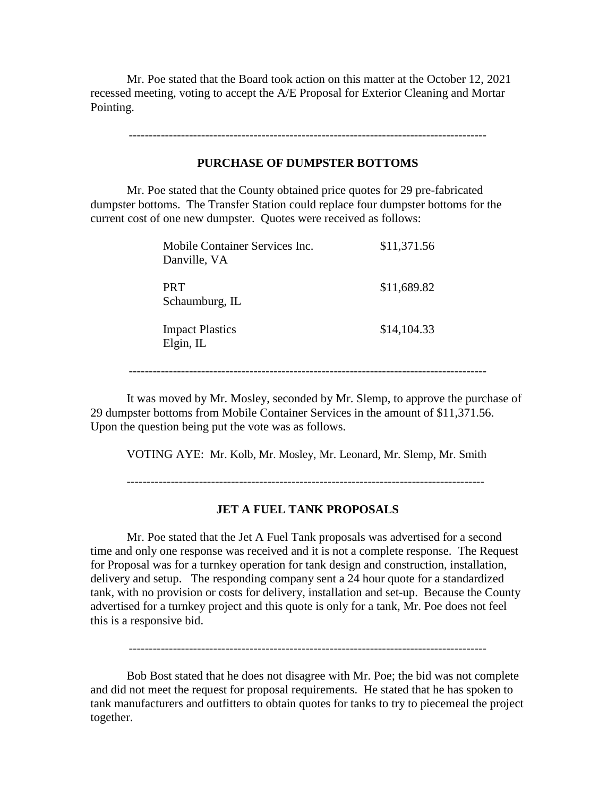Mr. Poe stated that the Board took action on this matter at the October 12, 2021 recessed meeting, voting to accept the A/E Proposal for Exterior Cleaning and Mortar Pointing.

-----------------------------------------------------------------------------------------

#### **PURCHASE OF DUMPSTER BOTTOMS**

Mr. Poe stated that the County obtained price quotes for 29 pre-fabricated dumpster bottoms. The Transfer Station could replace four dumpster bottoms for the current cost of one new dumpster. Quotes were received as follows:

| Mobile Container Services Inc.<br>Danville, VA | \$11,371.56 |
|------------------------------------------------|-------------|
| <b>PRT</b><br>Schaumburg, IL                   | \$11,689.82 |
| <b>Impact Plastics</b><br>Elgin, IL            | \$14,104.33 |

-----------------------------------------------------------------------------------------

It was moved by Mr. Mosley, seconded by Mr. Slemp, to approve the purchase of 29 dumpster bottoms from Mobile Container Services in the amount of \$11,371.56. Upon the question being put the vote was as follows.

VOTING AYE: Mr. Kolb, Mr. Mosley, Mr. Leonard, Mr. Slemp, Mr. Smith

-----------------------------------------------------------------------------------------

# **JET A FUEL TANK PROPOSALS**

Mr. Poe stated that the Jet A Fuel Tank proposals was advertised for a second time and only one response was received and it is not a complete response. The Request for Proposal was for a turnkey operation for tank design and construction, installation, delivery and setup. The responding company sent a 24 hour quote for a standardized tank, with no provision or costs for delivery, installation and set-up. Because the County advertised for a turnkey project and this quote is only for a tank, Mr. Poe does not feel this is a responsive bid.

-----------------------------------------------------------------------------------------

Bob Bost stated that he does not disagree with Mr. Poe; the bid was not complete and did not meet the request for proposal requirements. He stated that he has spoken to tank manufacturers and outfitters to obtain quotes for tanks to try to piecemeal the project together.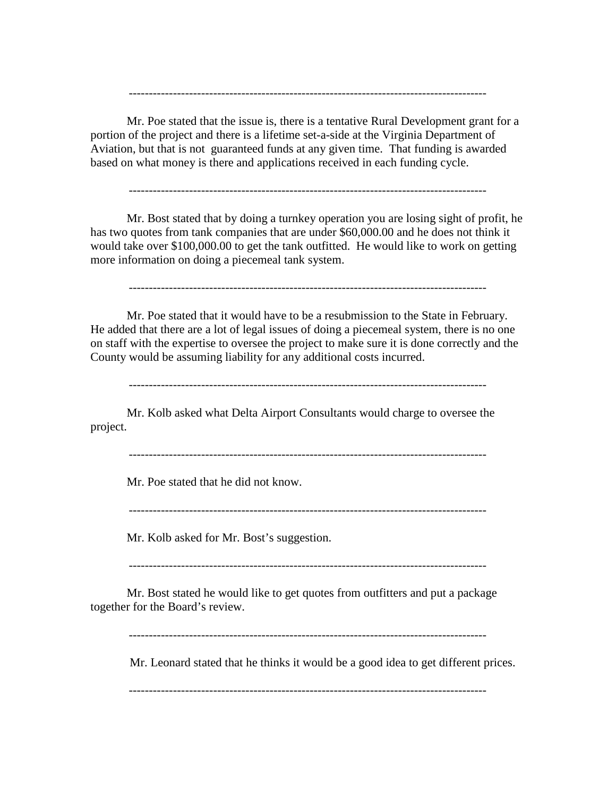Mr. Poe stated that the issue is, there is a tentative Rural Development grant for a portion of the project and there is a lifetime set-a-side at the Virginia Department of Aviation, but that is not guaranteed funds at any given time. That funding is awarded based on what money is there and applications received in each funding cycle.

-----------------------------------------------------------------------------------------

-----------------------------------------------------------------------------------------

Mr. Bost stated that by doing a turnkey operation you are losing sight of profit, he has two quotes from tank companies that are under \$60,000.00 and he does not think it would take over \$100,000.00 to get the tank outfitted. He would like to work on getting more information on doing a piecemeal tank system.

-----------------------------------------------------------------------------------------

Mr. Poe stated that it would have to be a resubmission to the State in February. He added that there are a lot of legal issues of doing a piecemeal system, there is no one on staff with the expertise to oversee the project to make sure it is done correctly and the County would be assuming liability for any additional costs incurred.

-----------------------------------------------------------------------------------------

Mr. Kolb asked what Delta Airport Consultants would charge to oversee the project.

-----------------------------------------------------------------------------------------

Mr. Poe stated that he did not know.

-----------------------------------------------------------------------------------------

Mr. Kolb asked for Mr. Bost's suggestion.

-----------------------------------------------------------------------------------------

Mr. Bost stated he would like to get quotes from outfitters and put a package together for the Board's review.

-----------------------------------------------------------------------------------------

Mr. Leonard stated that he thinks it would be a good idea to get different prices.

-----------------------------------------------------------------------------------------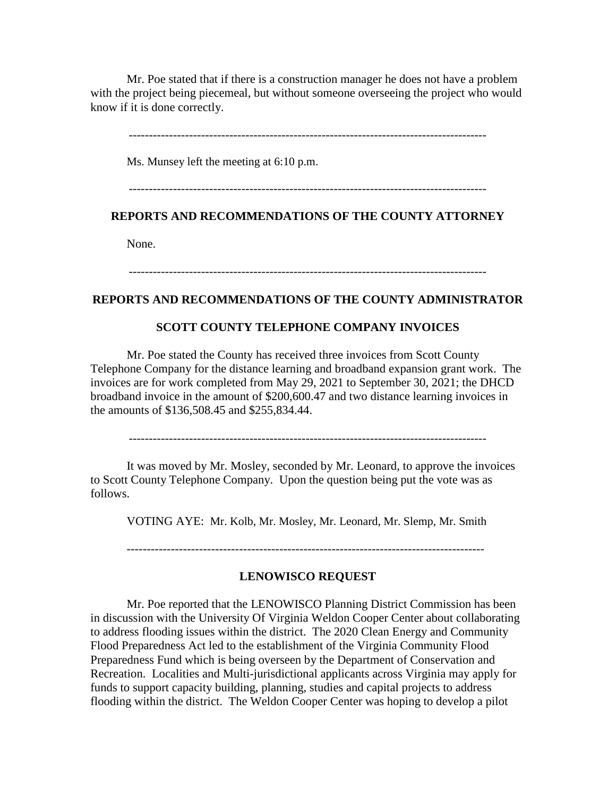Mr. Poe stated that if there is a construction manager he does not have a problem with the project being piecemeal, but without someone overseeing the project who would know if it is done correctly.

-----------------------------------------------------------------------------------------

Ms. Munsey left the meeting at 6:10 p.m.

-----------------------------------------------------------------------------------------

## **REPORTS AND RECOMMENDATIONS OF THE COUNTY ATTORNEY**

None.

-----------------------------------------------------------------------------------------

### **REPORTS AND RECOMMENDATIONS OF THE COUNTY ADMINISTRATOR**

#### **SCOTT COUNTY TELEPHONE COMPANY INVOICES**

Mr. Poe stated the County has received three invoices from Scott County Telephone Company for the distance learning and broadband expansion grant work. The invoices are for work completed from May 29, 2021 to September 30, 2021; the DHCD broadband invoice in the amount of \$200,600.47 and two distance learning invoices in the amounts of \$136,508.45 and \$255,834.44.

-----------------------------------------------------------------------------------------

It was moved by Mr. Mosley, seconded by Mr. Leonard, to approve the invoices to Scott County Telephone Company. Upon the question being put the vote was as follows.

VOTING AYE: Mr. Kolb, Mr. Mosley, Mr. Leonard, Mr. Slemp, Mr. Smith

-----------------------------------------------------------------------------------------

#### **LENOWISCO REQUEST**

Mr. Poe reported that the LENOWISCO Planning District Commission has been in discussion with the University Of Virginia Weldon Cooper Center about collaborating to address flooding issues within the district. The 2020 Clean Energy and Community Flood Preparedness Act led to the establishment of the Virginia Community Flood Preparedness Fund which is being overseen by the Department of Conservation and Recreation. Localities and Multi-jurisdictional applicants across Virginia may apply for funds to support capacity building, planning, studies and capital projects to address flooding within the district. The Weldon Cooper Center was hoping to develop a pilot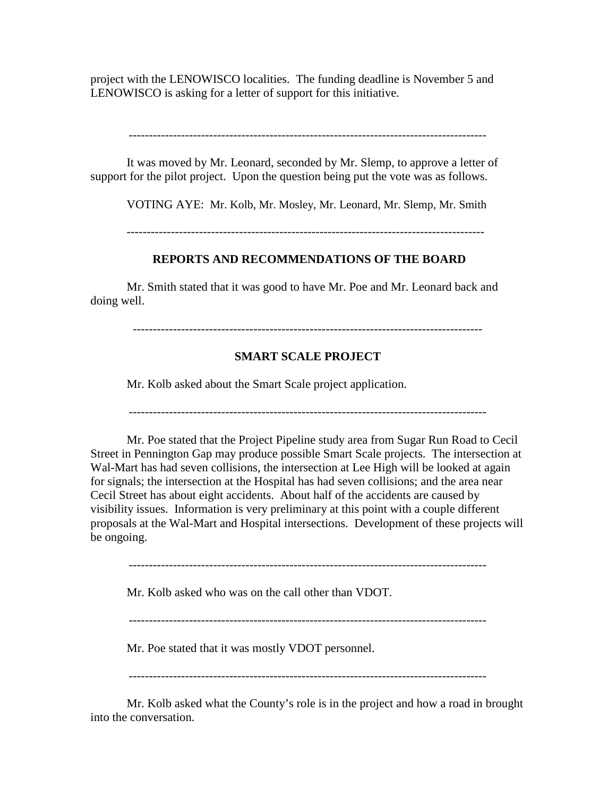project with the LENOWISCO localities. The funding deadline is November 5 and LENOWISCO is asking for a letter of support for this initiative.

-----------------------------------------------------------------------------------------

It was moved by Mr. Leonard, seconded by Mr. Slemp, to approve a letter of support for the pilot project. Upon the question being put the vote was as follows.

VOTING AYE: Mr. Kolb, Mr. Mosley, Mr. Leonard, Mr. Slemp, Mr. Smith

-----------------------------------------------------------------------------------------

## **REPORTS AND RECOMMENDATIONS OF THE BOARD**

Mr. Smith stated that it was good to have Mr. Poe and Mr. Leonard back and doing well.

---------------------------------------------------------------------------------------

## **SMART SCALE PROJECT**

Mr. Kolb asked about the Smart Scale project application.

-----------------------------------------------------------------------------------------

Mr. Poe stated that the Project Pipeline study area from Sugar Run Road to Cecil Street in Pennington Gap may produce possible Smart Scale projects. The intersection at Wal-Mart has had seven collisions, the intersection at Lee High will be looked at again for signals; the intersection at the Hospital has had seven collisions; and the area near Cecil Street has about eight accidents. About half of the accidents are caused by visibility issues. Information is very preliminary at this point with a couple different proposals at the Wal-Mart and Hospital intersections. Development of these projects will be ongoing.

-----------------------------------------------------------------------------------------

Mr. Kolb asked who was on the call other than VDOT.

-----------------------------------------------------------------------------------------

Mr. Poe stated that it was mostly VDOT personnel.

-----------------------------------------------------------------------------------------

Mr. Kolb asked what the County's role is in the project and how a road in brought into the conversation.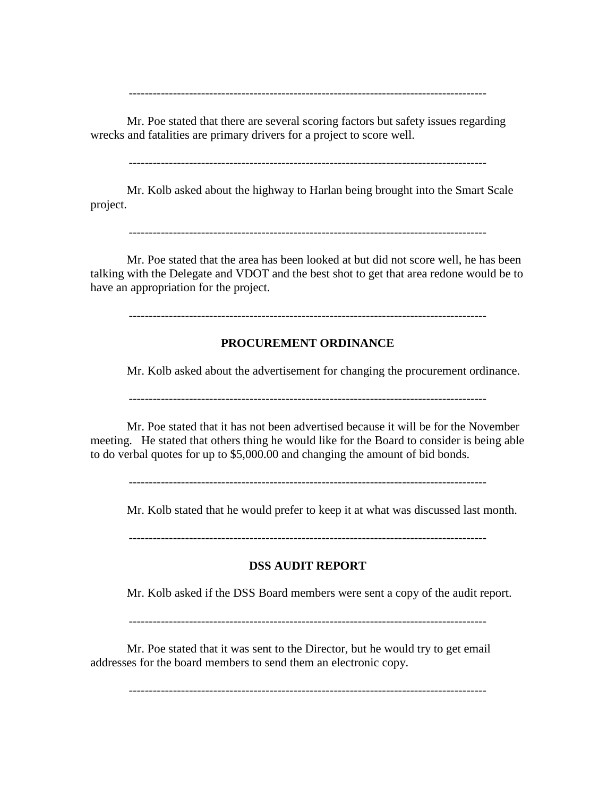-----------------------------------------------------------------------------------------

Mr. Poe stated that there are several scoring factors but safety issues regarding wrecks and fatalities are primary drivers for a project to score well.

-----------------------------------------------------------------------------------------

Mr. Kolb asked about the highway to Harlan being brought into the Smart Scale project.

-----------------------------------------------------------------------------------------

Mr. Poe stated that the area has been looked at but did not score well, he has been talking with the Delegate and VDOT and the best shot to get that area redone would be to have an appropriation for the project.

-----------------------------------------------------------------------------------------

### **PROCUREMENT ORDINANCE**

Mr. Kolb asked about the advertisement for changing the procurement ordinance.

-----------------------------------------------------------------------------------------

Mr. Poe stated that it has not been advertised because it will be for the November meeting. He stated that others thing he would like for the Board to consider is being able to do verbal quotes for up to \$5,000.00 and changing the amount of bid bonds.

-----------------------------------------------------------------------------------------

Mr. Kolb stated that he would prefer to keep it at what was discussed last month.

-----------------------------------------------------------------------------------------

## **DSS AUDIT REPORT**

Mr. Kolb asked if the DSS Board members were sent a copy of the audit report.

-----------------------------------------------------------------------------------------

Mr. Poe stated that it was sent to the Director, but he would try to get email addresses for the board members to send them an electronic copy.

-----------------------------------------------------------------------------------------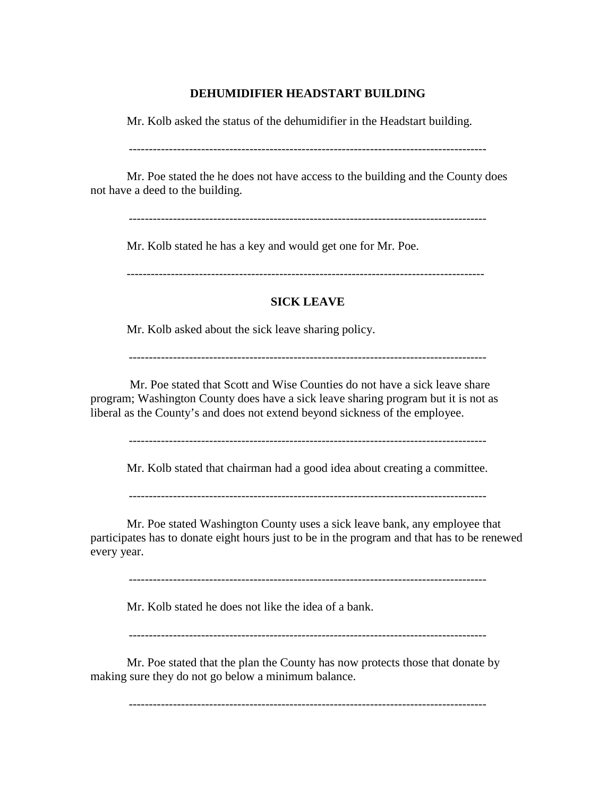### **DEHUMIDIFIER HEADSTART BUILDING**

Mr. Kolb asked the status of the dehumidifier in the Headstart building.

-----------------------------------------------------------------------------------------

Mr. Poe stated the he does not have access to the building and the County does not have a deed to the building.

-----------------------------------------------------------------------------------------

Mr. Kolb stated he has a key and would get one for Mr. Poe.

-----------------------------------------------------------------------------------------

## **SICK LEAVE**

Mr. Kolb asked about the sick leave sharing policy.

-----------------------------------------------------------------------------------------

Mr. Poe stated that Scott and Wise Counties do not have a sick leave share program; Washington County does have a sick leave sharing program but it is not as liberal as the County's and does not extend beyond sickness of the employee.

-----------------------------------------------------------------------------------------

Mr. Kolb stated that chairman had a good idea about creating a committee.

-----------------------------------------------------------------------------------------

Mr. Poe stated Washington County uses a sick leave bank, any employee that participates has to donate eight hours just to be in the program and that has to be renewed every year.

-----------------------------------------------------------------------------------------

Mr. Kolb stated he does not like the idea of a bank.

-----------------------------------------------------------------------------------------

Mr. Poe stated that the plan the County has now protects those that donate by making sure they do not go below a minimum balance.

-----------------------------------------------------------------------------------------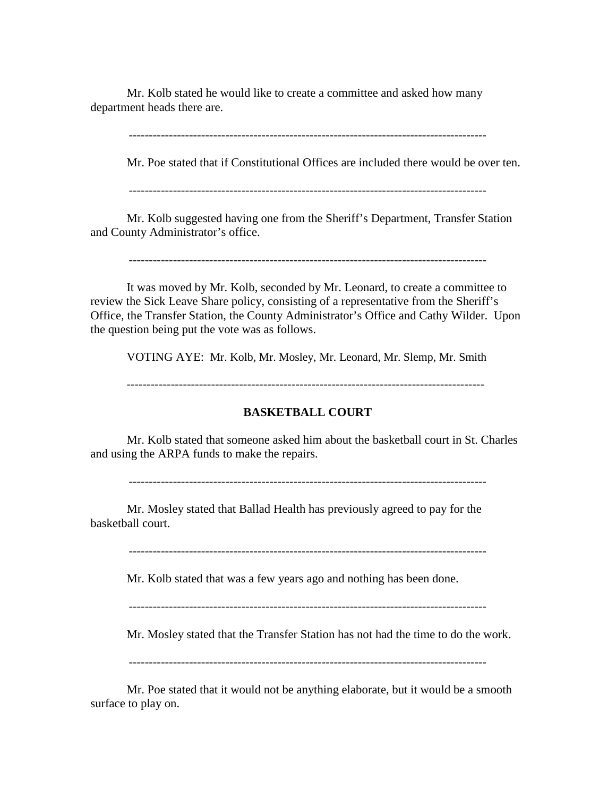Mr. Kolb stated he would like to create a committee and asked how many department heads there are.

-----------------------------------------------------------------------------------------

Mr. Poe stated that if Constitutional Offices are included there would be over ten.

-----------------------------------------------------------------------------------------

Mr. Kolb suggested having one from the Sheriff's Department, Transfer Station and County Administrator's office.

-----------------------------------------------------------------------------------------

It was moved by Mr. Kolb, seconded by Mr. Leonard, to create a committee to review the Sick Leave Share policy, consisting of a representative from the Sheriff's Office, the Transfer Station, the County Administrator's Office and Cathy Wilder. Upon the question being put the vote was as follows.

VOTING AYE: Mr. Kolb, Mr. Mosley, Mr. Leonard, Mr. Slemp, Mr. Smith

-----------------------------------------------------------------------------------------

### **BASKETBALL COURT**

Mr. Kolb stated that someone asked him about the basketball court in St. Charles and using the ARPA funds to make the repairs.

-----------------------------------------------------------------------------------------

Mr. Mosley stated that Ballad Health has previously agreed to pay for the basketball court.

-----------------------------------------------------------------------------------------

Mr. Kolb stated that was a few years ago and nothing has been done.

-----------------------------------------------------------------------------------------

Mr. Mosley stated that the Transfer Station has not had the time to do the work.

-----------------------------------------------------------------------------------------

Mr. Poe stated that it would not be anything elaborate, but it would be a smooth surface to play on.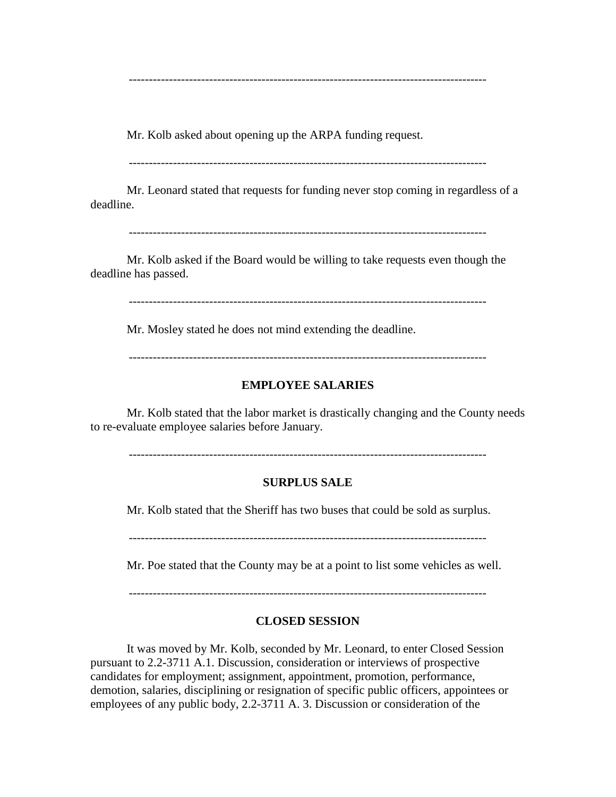-----------------------------------------------------------------------------------------

Mr. Kolb asked about opening up the ARPA funding request.

-----------------------------------------------------------------------------------------

Mr. Leonard stated that requests for funding never stop coming in regardless of a deadline.

-----------------------------------------------------------------------------------------

Mr. Kolb asked if the Board would be willing to take requests even though the deadline has passed.

-----------------------------------------------------------------------------------------

Mr. Mosley stated he does not mind extending the deadline.

-----------------------------------------------------------------------------------------

#### **EMPLOYEE SALARIES**

Mr. Kolb stated that the labor market is drastically changing and the County needs to re-evaluate employee salaries before January.

-----------------------------------------------------------------------------------------

### **SURPLUS SALE**

Mr. Kolb stated that the Sheriff has two buses that could be sold as surplus.

-----------------------------------------------------------------------------------------

Mr. Poe stated that the County may be at a point to list some vehicles as well.

-----------------------------------------------------------------------------------------

### **CLOSED SESSION**

It was moved by Mr. Kolb, seconded by Mr. Leonard, to enter Closed Session pursuant to 2.2-3711 A.1. Discussion, consideration or interviews of prospective candidates for employment; assignment, appointment, promotion, performance, demotion, salaries, disciplining or resignation of specific public officers, appointees or employees of any public body, 2.2-3711 A. 3. Discussion or consideration of the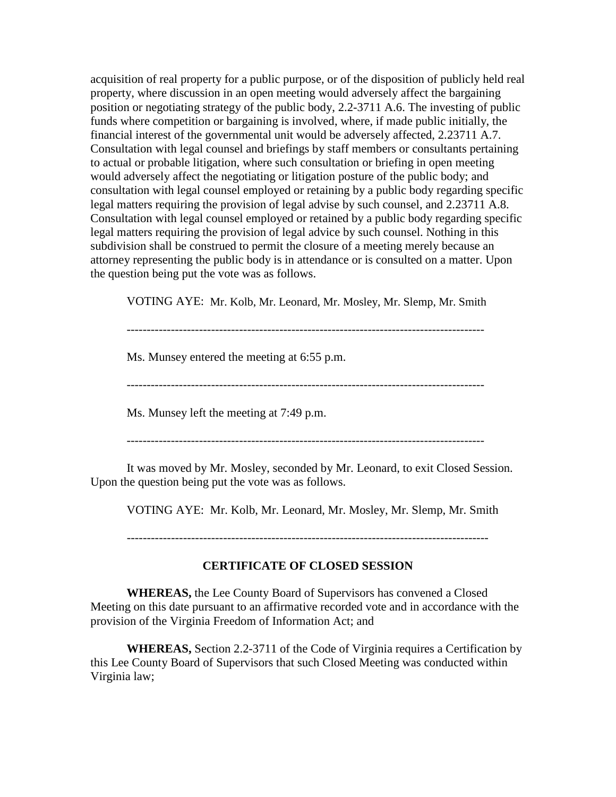acquisition of real property for a public purpose, or of the disposition of publicly held real property, where discussion in an open meeting would adversely affect the bargaining position or negotiating strategy of the public body, 2.2-3711 A.6. The investing of public funds where competition or bargaining is involved, where, if made public initially, the financial interest of the governmental unit would be adversely affected, 2.23711 A.7. Consultation with legal counsel and briefings by staff members or consultants pertaining to actual or probable litigation, where such consultation or briefing in open meeting would adversely affect the negotiating or litigation posture of the public body; and consultation with legal counsel employed or retaining by a public body regarding specific legal matters requiring the provision of legal advise by such counsel, and 2.23711 A.8. Consultation with legal counsel employed or retained by a public body regarding specific legal matters requiring the provision of legal advice by such counsel. Nothing in this subdivision shall be construed to permit the closure of a meeting merely because an attorney representing the public body is in attendance or is consulted on a matter. Upon the question being put the vote was as follows.

VOTING AYE: Mr. Kolb, Mr. Leonard, Mr. Mosley, Mr. Slemp, Mr. Smith

-----------------------------------------------------------------------------------------

Ms. Munsey entered the meeting at 6:55 p.m.

-----------------------------------------------------------------------------------------

Ms. Munsey left the meeting at 7:49 p.m.

-----------------------------------------------------------------------------------------

It was moved by Mr. Mosley, seconded by Mr. Leonard, to exit Closed Session. Upon the question being put the vote was as follows.

VOTING AYE: Mr. Kolb, Mr. Leonard, Mr. Mosley, Mr. Slemp, Mr. Smith

------------------------------------------------------------------------------------------

## **CERTIFICATE OF CLOSED SESSION**

**WHEREAS,** the Lee County Board of Supervisors has convened a Closed Meeting on this date pursuant to an affirmative recorded vote and in accordance with the provision of the Virginia Freedom of Information Act; and

**WHEREAS,** Section 2.2-3711 of the Code of Virginia requires a Certification by this Lee County Board of Supervisors that such Closed Meeting was conducted within Virginia law;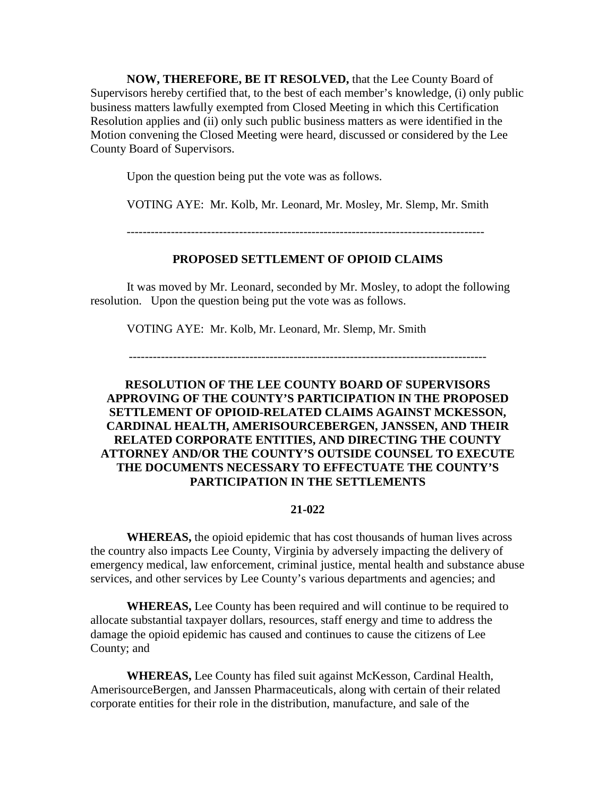**NOW, THEREFORE, BE IT RESOLVED,** that the Lee County Board of Supervisors hereby certified that, to the best of each member's knowledge, (i) only public business matters lawfully exempted from Closed Meeting in which this Certification Resolution applies and (ii) only such public business matters as were identified in the Motion convening the Closed Meeting were heard, discussed or considered by the Lee County Board of Supervisors.

Upon the question being put the vote was as follows.

VOTING AYE: Mr. Kolb, Mr. Leonard, Mr. Mosley, Mr. Slemp, Mr. Smith

-----------------------------------------------------------------------------------------

## **PROPOSED SETTLEMENT OF OPIOID CLAIMS**

It was moved by Mr. Leonard, seconded by Mr. Mosley, to adopt the following resolution. Upon the question being put the vote was as follows.

VOTING AYE: Mr. Kolb, Mr. Leonard, Mr. Slemp, Mr. Smith

-----------------------------------------------------------------------------------------

# **RESOLUTION OF THE LEE COUNTY BOARD OF SUPERVISORS APPROVING OF THE COUNTY'S PARTICIPATION IN THE PROPOSED SETTLEMENT OF OPIOID-RELATED CLAIMS AGAINST MCKESSON, CARDINAL HEALTH, AMERISOURCEBERGEN, JANSSEN, AND THEIR RELATED CORPORATE ENTITIES, AND DIRECTING THE COUNTY ATTORNEY AND/OR THE COUNTY'S OUTSIDE COUNSEL TO EXECUTE THE DOCUMENTS NECESSARY TO EFFECTUATE THE COUNTY'S PARTICIPATION IN THE SETTLEMENTS**

#### **21-022**

**WHEREAS,** the opioid epidemic that has cost thousands of human lives across the country also impacts Lee County, Virginia by adversely impacting the delivery of emergency medical, law enforcement, criminal justice, mental health and substance abuse services, and other services by Lee County's various departments and agencies; and

**WHEREAS,** Lee County has been required and will continue to be required to allocate substantial taxpayer dollars, resources, staff energy and time to address the damage the opioid epidemic has caused and continues to cause the citizens of Lee County; and

**WHEREAS,** Lee County has filed suit against McKesson, Cardinal Health, AmerisourceBergen, and Janssen Pharmaceuticals, along with certain of their related corporate entities for their role in the distribution, manufacture, and sale of the